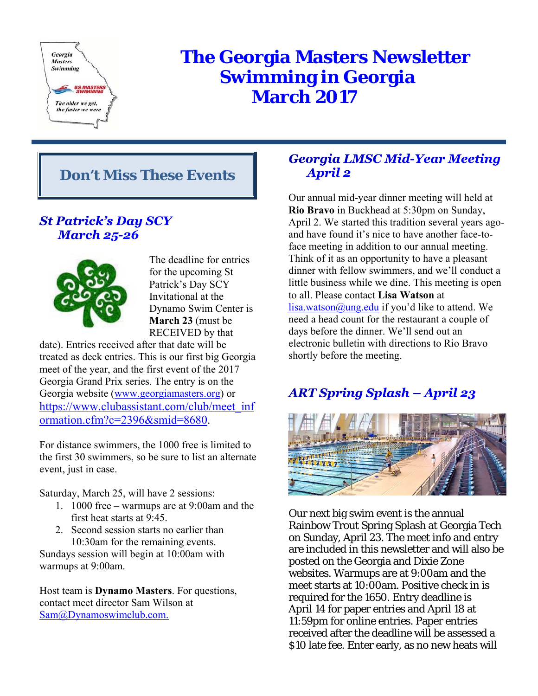

# **The Georgia Masters Newsletter Swimming in Georgia March 2017**

# **Don't Miss These Events**

# **St Patrick's Day SCY March 25-26**



The deadline for entries for the upcoming St Patrick's Day SCY Invitational at the Dynamo Swim Center is **March 23** (must be RECEIVED by that

date). Entries received after that date will be treated as deck entries. This is our first big Georgia meet of the year, and the first event of the 2017 Georgia Grand Prix series. The entry is on the Georgia website (www.georgiamasters.org) or https://www.clubassistant.com/club/meet\_inf ormation.cfm?c=2396&smid=8680.

For distance swimmers, the 1000 free is limited to the first 30 swimmers, so be sure to list an alternate event, just in case.

Saturday, March 25, will have 2 sessions:

- 1. 1000 free warmups are at 9:00am and the first heat starts at 9:45.
- 2. Second session starts no earlier than 10:30am for the remaining events.

Sundays session will begin at 10:00am with warmups at 9:00am.

Host team is **Dynamo Masters**. For questions, contact meet director Sam Wilson at Sam@Dynamoswimclub.com.

# **Georgia LMSC Mid-Year Meeting April 2**

Our annual mid-year dinner meeting will held at **Rio Bravo** in Buckhead at 5:30pm on Sunday, April 2. We started this tradition several years agoand have found it's nice to have another face-toface meeting in addition to our annual meeting. Think of it as an opportunity to have a pleasant dinner with fellow swimmers, and we'll conduct a little business while we dine. This meeting is open to all. Please contact **Lisa Watson** at  $lisa.watson@ung.edu$  if you'd like to attend. We need a head count for the restaurant a couple of days before the dinner. We'll send out an electronic bulletin with directions to Rio Bravo shortly before the meeting.

# **ART Spring Splash – April 23**



Our next big swim event is the annual Rainbow Trout Spring Splash at Georgia Tech on Sunday, April 23. The meet info and entry are included in this newsletter and will also be posted on the Georgia and Dixie Zone websites. Warmups are at 9:00am and the meet starts at 10:00am. Positive check in is required for the 1650. Entry deadline is April 14 for paper entries and April 18 at 11:59pm for online entries. Paper entries received after the deadline will be assessed a \$10 late fee. Enter early, as no new heats will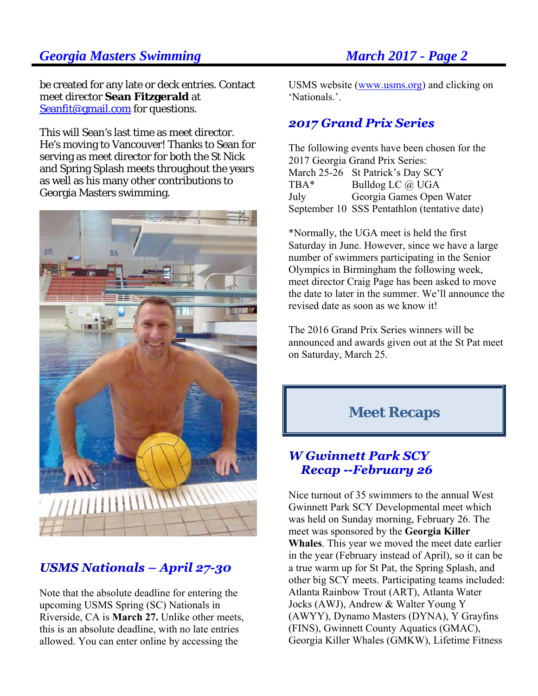be created for any late or deck entries. Contact meet director **Sean Fitzgerald** at Seanfit@gmail.com for questions.

This will Sean's last time as meet director. He's moving to Vancouver! Thanks to Sean for serving as meet director for both the St Nick and Spring Splash meets throughout the years as well as his many other contributions to Georgia Masters swimming.



# **USMS Nationals - April 27-30**

Note that the absolute deadline for entering the upcoming USMS Spring (SC) Nationals in Riverside, CA is **March 27.** Unlike other meets, this is an absolute deadline, with no late entries allowed. You can enter online by accessing the

USMS website (www.usms.org) and clicking on 'Nationals.'.

### **2017 Grand Prix Series**

The following events have been chosen for the 2017 Georgia Grand Prix Series: March 25-26 St Patrick's Day SCY TBA\* Bulldog LC @ UGA July Georgia Games Open Water September 10 SSS Pentathlon (tentative date)

\*Normally, the UGA meet is held the first Saturday in June. However, since we have a large number of swimmers participating in the Senior Olympics in Birmingham the following week, meet director Craig Page has been asked to move the date to later in the summer. We'll announce the revised date as soon as we know it!

The 2016 Grand Prix Series winners will be announced and awards given out at the St Pat meet on Saturday, March 25.

# **Meet Recaps**

### **W Gwinnett Park SCY Recap --February 26**

Nice turnout of 35 swimmers to the annual West Gwinnett Park SCY Developmental meet which was held on Sunday morning, February 26. The meet was sponsored by the **Georgia Killer Whales**. This year we moved the meet date earlier in the year (February instead of April), so it can be a true warm up for St Pat, the Spring Splash, and other big SCY meets. Participating teams included: Atlanta Rainbow Trout (ART), Atlanta Water Jocks (AWJ), Andrew & Walter Young Y (AWYY), Dynamo Masters (DYNA), Y Grayfins (FINS), Gwinnett County Aquatics (GMAC), Georgia Killer Whales (GMKW), Lifetime Fitness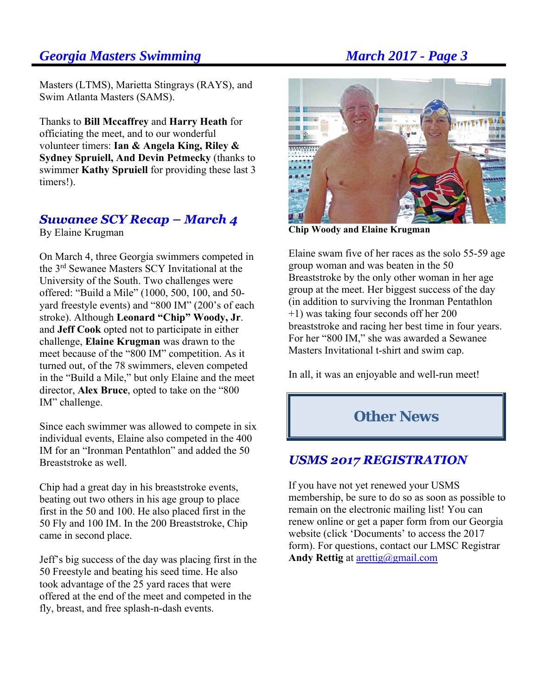Masters (LTMS), Marietta Stingrays (RAYS), and Swim Atlanta Masters (SAMS).

Thanks to **Bill Mccaffrey** and **Harry Heath** for officiating the meet, and to our wonderful volunteer timers: **Ian & Angela King, Riley & Sydney Spruiell, And Devin Petmecky** (thanks to swimmer **Kathy Spruiell** for providing these last 3 timers!).

# Suwanee SCY Recap – March 4

By Elaine Krugman

On March 4, three Georgia swimmers competed in the 3rd Sewanee Masters SCY Invitational at the University of the South. Two challenges were offered: "Build a Mile" (1000, 500, 100, and 50 yard freestyle events) and "800 IM" (200's of each stroke). Although **Leonard "Chip" Woody, Jr**. and **Jeff Cook** opted not to participate in either challenge, **Elaine Krugman** was drawn to the meet because of the "800 IM" competition. As it turned out, of the 78 swimmers, eleven competed in the "Build a Mile," but only Elaine and the meet director, **Alex Bruce**, opted to take on the "800 IM" challenge.

Since each swimmer was allowed to compete in six individual events, Elaine also competed in the 400 IM for an "Ironman Pentathlon" and added the 50 Breaststroke as well.

Chip had a great day in his breaststroke events, beating out two others in his age group to place first in the 50 and 100. He also placed first in the 50 Fly and 100 IM. In the 200 Breaststroke, Chip came in second place.

Jeff's big success of the day was placing first in the 50 Freestyle and beating his seed time. He also took advantage of the 25 yard races that were offered at the end of the meet and competed in the fly, breast, and free splash-n-dash events.



**Chip Woody and Elaine Krugman** 

Elaine swam five of her races as the solo 55-59 age group woman and was beaten in the 50 Breaststroke by the only other woman in her age group at the meet. Her biggest success of the day (in addition to surviving the Ironman Pentathlon +1) was taking four seconds off her 200 breaststroke and racing her best time in four years. For her "800 IM," she was awarded a Sewanee Masters Invitational t-shirt and swim cap.

In all, it was an enjoyable and well-run meet!

# **Other News**

# **USMS 2017 REGISTRATION**

If you have not yet renewed your USMS membership, be sure to do so as soon as possible to remain on the electronic mailing list! You can renew online or get a paper form from our Georgia website (click 'Documents' to access the 2017 form). For questions, contact our LMSC Registrar **Andy Rettig** at arettig@gmail.com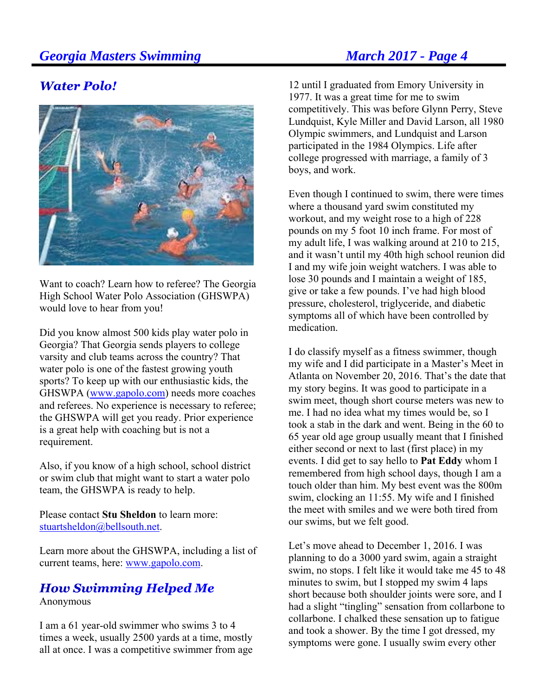# **Water Polo!**



Want to coach? Learn how to referee? The Georgia High School Water Polo Association (GHSWPA) would love to hear from you!

Did you know almost 500 kids play water polo in Georgia? That Georgia sends players to college varsity and club teams across the country? That water polo is one of the fastest growing youth sports? To keep up with our enthusiastic kids, the GHSWPA (www.gapolo.com) needs more coaches and referees. No experience is necessary to referee; the GHSWPA will get you ready. Prior experience is a great help with coaching but is not a requirement.

Also, if you know of a high school, school district or swim club that might want to start a water polo team, the GHSWPA is ready to help.

Please contact **Stu Sheldon** to learn more: stuartsheldon@bellsouth.net.

Learn more about the GHSWPA, including a list of current teams, here: www.gapolo.com.

# **How Swimming Helped Me**

Anonymous

I am a 61 year-old swimmer who swims 3 to 4 times a week, usually 2500 yards at a time, mostly all at once. I was a competitive swimmer from age

12 until I graduated from Emory University in 1977. It was a great time for me to swim competitively. This was before Glynn Perry, Steve Lundquist, Kyle Miller and David Larson, all 1980 Olympic swimmers, and Lundquist and Larson participated in the 1984 Olympics. Life after college progressed with marriage, a family of 3 boys, and work.

Even though I continued to swim, there were times where a thousand yard swim constituted my workout, and my weight rose to a high of 228 pounds on my 5 foot 10 inch frame. For most of my adult life, I was walking around at 210 to 215, and it wasn't until my 40th high school reunion did I and my wife join weight watchers. I was able to lose 30 pounds and I maintain a weight of 185, give or take a few pounds. I've had high blood pressure, cholesterol, triglyceride, and diabetic symptoms all of which have been controlled by medication.

I do classify myself as a fitness swimmer, though my wife and I did participate in a Master's Meet in Atlanta on November 20, 2016. That's the date that my story begins. It was good to participate in a swim meet, though short course meters was new to me. I had no idea what my times would be, so I took a stab in the dark and went. Being in the 60 to 65 year old age group usually meant that I finished either second or next to last (first place) in my events. I did get to say hello to **Pat Eddy** whom I remembered from high school days, though I am a touch older than him. My best event was the 800m swim, clocking an 11:55. My wife and I finished the meet with smiles and we were both tired from our swims, but we felt good.

Let's move ahead to December 1, 2016. I was planning to do a 3000 yard swim, again a straight swim, no stops. I felt like it would take me 45 to 48 minutes to swim, but I stopped my swim 4 laps short because both shoulder joints were sore, and I had a slight "tingling" sensation from collarbone to collarbone. I chalked these sensation up to fatigue and took a shower. By the time I got dressed, my symptoms were gone. I usually swim every other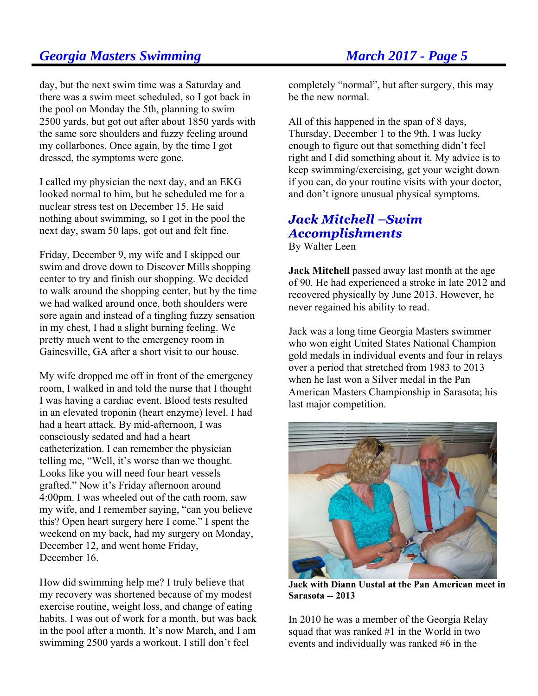day, but the next swim time was a Saturday and there was a swim meet scheduled, so I got back in the pool on Monday the 5th, planning to swim 2500 yards, but got out after about 1850 yards with the same sore shoulders and fuzzy feeling around my collarbones. Once again, by the time I got dressed, the symptoms were gone.

I called my physician the next day, and an EKG looked normal to him, but he scheduled me for a nuclear stress test on December 15. He said nothing about swimming, so I got in the pool the next day, swam 50 laps, got out and felt fine.

Friday, December 9, my wife and I skipped our swim and drove down to Discover Mills shopping center to try and finish our shopping. We decided to walk around the shopping center, but by the time we had walked around once, both shoulders were sore again and instead of a tingling fuzzy sensation in my chest, I had a slight burning feeling. We pretty much went to the emergency room in Gainesville, GA after a short visit to our house.

My wife dropped me off in front of the emergency room, I walked in and told the nurse that I thought I was having a cardiac event. Blood tests resulted in an elevated troponin (heart enzyme) level. I had had a heart attack. By mid-afternoon, I was consciously sedated and had a heart catheterization. I can remember the physician telling me, "Well, it's worse than we thought. Looks like you will need four heart vessels grafted." Now it's Friday afternoon around 4:00pm. I was wheeled out of the cath room, saw my wife, and I remember saying, "can you believe this? Open heart surgery here I come." I spent the weekend on my back, had my surgery on Monday, December 12, and went home Friday, December 16.

How did swimming help me? I truly believe that my recovery was shortened because of my modest exercise routine, weight loss, and change of eating habits. I was out of work for a month, but was back in the pool after a month. It's now March, and I am swimming 2500 yards a workout. I still don't feel

completely "normal", but after surgery, this may be the new normal.

All of this happened in the span of 8 days, Thursday, December 1 to the 9th. I was lucky enough to figure out that something didn't feel right and I did something about it. My advice is to keep swimming/exercising, get your weight down if you can, do your routine visits with your doctor, and don't ignore unusual physical symptoms.

# **Jack Mitchell –Swim Accomplishments**

By Walter Leen

**Jack Mitchell** passed away last month at the age of 90. He had experienced a stroke in late 2012 and recovered physically by June 2013. However, he never regained his ability to read.

Jack was a long time Georgia Masters swimmer who won eight United States National Champion gold medals in individual events and four in relays over a period that stretched from 1983 to 2013 when he last won a Silver medal in the Pan American Masters Championship in Sarasota; his last major competition.



**Jack with Diann Uustal at the Pan American meet in Sarasota -- 2013** 

In 2010 he was a member of the Georgia Relay squad that was ranked #1 in the World in two events and individually was ranked #6 in the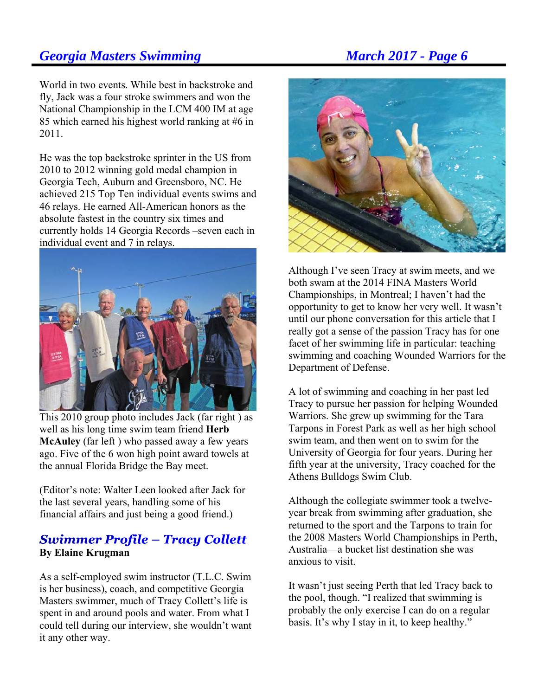World in two events. While best in backstroke and fly, Jack was a four stroke swimmers and won the National Championship in the LCM 400 IM at age 85 which earned his highest world ranking at #6 in 2011.

He was the top backstroke sprinter in the US from 2010 to 2012 winning gold medal champion in Georgia Tech, Auburn and Greensboro, NC. He achieved 215 Top Ten individual events swims and 46 relays. He earned All-American honors as the absolute fastest in the country six times and currently holds 14 Georgia Records –seven each in individual event and 7 in relays.



This 2010 group photo includes Jack (far right ) as well as his long time swim team friend **Herb McAuley** (far left ) who passed away a few years ago. Five of the 6 won high point award towels at the annual Florida Bridge the Bay meet.

(Editor's note: Walter Leen looked after Jack for the last several years, handling some of his financial affairs and just being a good friend.)

### **Swimmer Profile - Tracy Collett By Elaine Krugman**

As a self-employed swim instructor (T.L.C. Swim is her business), coach, and competitive Georgia Masters swimmer, much of Tracy Collett's life is spent in and around pools and water. From what I could tell during our interview, she wouldn't want it any other way.



Although I've seen Tracy at swim meets, and we both swam at the 2014 FINA Masters World Championships, in Montreal; I haven't had the opportunity to get to know her very well. It wasn't until our phone conversation for this article that I really got a sense of the passion Tracy has for one facet of her swimming life in particular: teaching swimming and coaching Wounded Warriors for the Department of Defense.

A lot of swimming and coaching in her past led Tracy to pursue her passion for helping Wounded Warriors. She grew up swimming for the Tara Tarpons in Forest Park as well as her high school swim team, and then went on to swim for the University of Georgia for four years. During her fifth year at the university, Tracy coached for the Athens Bulldogs Swim Club.

Although the collegiate swimmer took a twelveyear break from swimming after graduation, she returned to the sport and the Tarpons to train for the 2008 Masters World Championships in Perth, Australia—a bucket list destination she was anxious to visit.

It wasn't just seeing Perth that led Tracy back to the pool, though. "I realized that swimming is probably the only exercise I can do on a regular basis. It's why I stay in it, to keep healthy."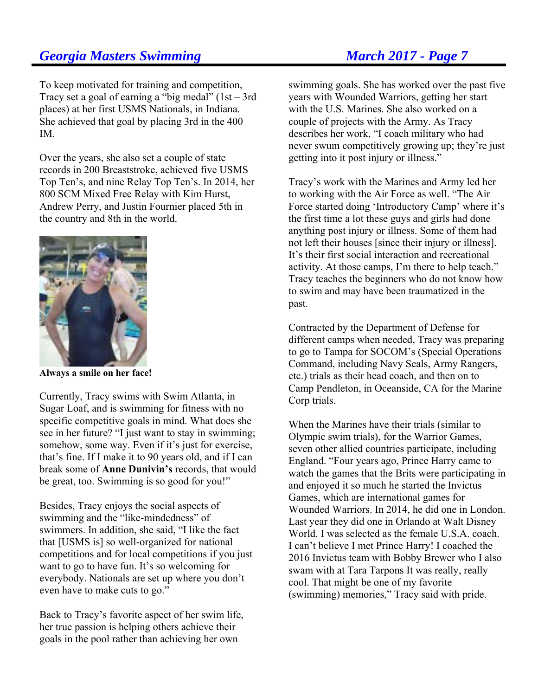To keep motivated for training and competition, Tracy set a goal of earning a "big medal"  $(1st - 3rd)$ places) at her first USMS Nationals, in Indiana. She achieved that goal by placing 3rd in the 400 IM.

Over the years, she also set a couple of state records in 200 Breaststroke, achieved five USMS Top Ten's, and nine Relay Top Ten's. In 2014, her 800 SCM Mixed Free Relay with Kim Hurst, Andrew Perry, and Justin Fournier placed 5th in the country and 8th in the world.



**Always a smile on her face!** 

Currently, Tracy swims with Swim Atlanta, in Sugar Loaf, and is swimming for fitness with no specific competitive goals in mind. What does she see in her future? "I just want to stay in swimming; somehow, some way. Even if it's just for exercise, that's fine. If I make it to 90 years old, and if I can break some of **Anne Dunivin's** records, that would be great, too. Swimming is so good for you!"

Besides, Tracy enjoys the social aspects of swimming and the "like-mindedness" of swimmers. In addition, she said, "I like the fact that [USMS is] so well-organized for national competitions and for local competitions if you just want to go to have fun. It's so welcoming for everybody. Nationals are set up where you don't even have to make cuts to go."

Back to Tracy's favorite aspect of her swim life, her true passion is helping others achieve their goals in the pool rather than achieving her own

swimming goals. She has worked over the past five years with Wounded Warriors, getting her start with the U.S. Marines. She also worked on a couple of projects with the Army. As Tracy describes her work, "I coach military who had never swum competitively growing up; they're just getting into it post injury or illness."

Tracy's work with the Marines and Army led her to working with the Air Force as well. "The Air Force started doing 'Introductory Camp' where it's the first time a lot these guys and girls had done anything post injury or illness. Some of them had not left their houses [since their injury or illness]. It's their first social interaction and recreational activity. At those camps, I'm there to help teach." Tracy teaches the beginners who do not know how to swim and may have been traumatized in the past.

Contracted by the Department of Defense for different camps when needed, Tracy was preparing to go to Tampa for SOCOM's (Special Operations Command, including Navy Seals, Army Rangers, etc.) trials as their head coach, and then on to Camp Pendleton, in Oceanside, CA for the Marine Corp trials.

When the Marines have their trials (similar to Olympic swim trials), for the Warrior Games, seven other allied countries participate, including England. "Four years ago, Prince Harry came to watch the games that the Brits were participating in and enjoyed it so much he started the Invictus Games, which are international games for Wounded Warriors. In 2014, he did one in London. Last year they did one in Orlando at Walt Disney World. I was selected as the female U.S.A. coach. I can't believe I met Prince Harry! I coached the 2016 Invictus team with Bobby Brewer who I also swam with at Tara Tarpons It was really, really cool. That might be one of my favorite (swimming) memories," Tracy said with pride.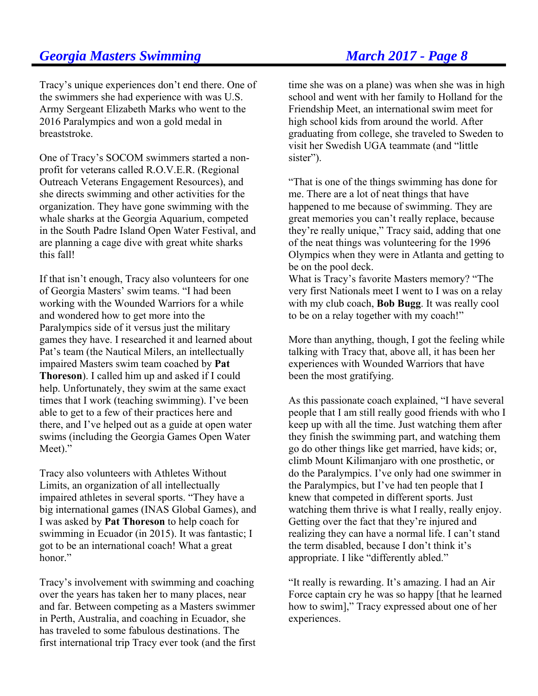Tracy's unique experiences don't end there. One of the swimmers she had experience with was U.S. Army Sergeant Elizabeth Marks who went to the 2016 Paralympics and won a gold medal in breaststroke.

One of Tracy's SOCOM swimmers started a nonprofit for veterans called R.O.V.E.R. (Regional Outreach Veterans Engagement Resources), and she directs swimming and other activities for the organization. They have gone swimming with the whale sharks at the Georgia Aquarium, competed in the South Padre Island Open Water Festival, and are planning a cage dive with great white sharks this fall!

If that isn't enough, Tracy also volunteers for one of Georgia Masters' swim teams. "I had been working with the Wounded Warriors for a while and wondered how to get more into the Paralympics side of it versus just the military games they have. I researched it and learned about Pat's team (the Nautical Milers, an intellectually impaired Masters swim team coached by **Pat Thoreson**). I called him up and asked if I could help. Unfortunately, they swim at the same exact times that I work (teaching swimming). I've been able to get to a few of their practices here and there, and I've helped out as a guide at open water swims (including the Georgia Games Open Water Meet)."

Tracy also volunteers with Athletes Without Limits, an organization of all intellectually impaired athletes in several sports. "They have a big international games (INAS Global Games), and I was asked by **Pat Thoreson** to help coach for swimming in Ecuador (in 2015). It was fantastic; I got to be an international coach! What a great honor."

Tracy's involvement with swimming and coaching over the years has taken her to many places, near and far. Between competing as a Masters swimmer in Perth, Australia, and coaching in Ecuador, she has traveled to some fabulous destinations. The first international trip Tracy ever took (and the first time she was on a plane) was when she was in high school and went with her family to Holland for the Friendship Meet, an international swim meet for high school kids from around the world. After graduating from college, she traveled to Sweden to visit her Swedish UGA teammate (and "little sister").

"That is one of the things swimming has done for me. There are a lot of neat things that have happened to me because of swimming. They are great memories you can't really replace, because they're really unique," Tracy said, adding that one of the neat things was volunteering for the 1996 Olympics when they were in Atlanta and getting to be on the pool deck.

What is Tracy's favorite Masters memory? "The very first Nationals meet I went to I was on a relay with my club coach, **Bob Bugg**. It was really cool to be on a relay together with my coach!"

More than anything, though, I got the feeling while talking with Tracy that, above all, it has been her experiences with Wounded Warriors that have been the most gratifying.

As this passionate coach explained, "I have several people that I am still really good friends with who I keep up with all the time. Just watching them after they finish the swimming part, and watching them go do other things like get married, have kids; or, climb Mount Kilimanjaro with one prosthetic, or do the Paralympics. I've only had one swimmer in the Paralympics, but I've had ten people that I knew that competed in different sports. Just watching them thrive is what I really, really enjoy. Getting over the fact that they're injured and realizing they can have a normal life. I can't stand the term disabled, because I don't think it's appropriate. I like "differently abled."

"It really is rewarding. It's amazing. I had an Air Force captain cry he was so happy [that he learned how to swim]," Tracy expressed about one of her experiences.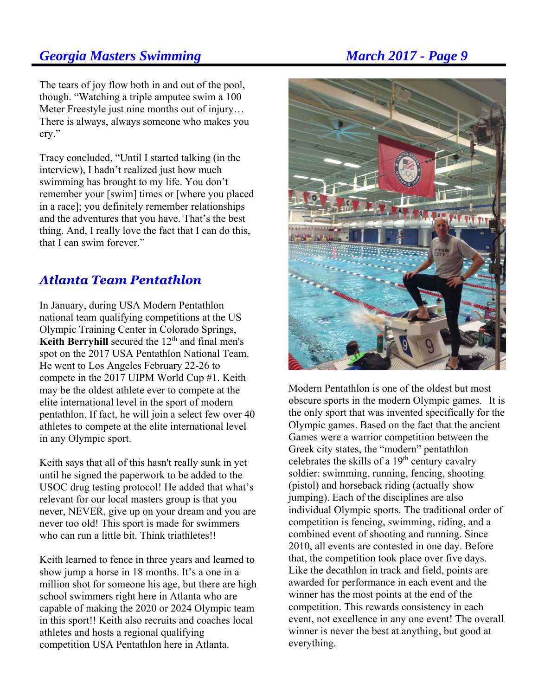The tears of joy flow both in and out of the pool, though. "Watching a triple amputee swim a 100 Meter Freestyle just nine months out of injury… There is always, always someone who makes you cry."

Tracy concluded, "Until I started talking (in the interview), I hadn't realized just how much swimming has brought to my life. You don't remember your [swim] times or [where you placed in a race]; you definitely remember relationships and the adventures that you have. That's the best thing. And, I really love the fact that I can do this, that I can swim forever."

# **Atlanta Team Pentathlon**

In January, during USA Modern Pentathlon national team qualifying competitions at the US Olympic Training Center in Colorado Springs, **Keith Berryhill** secured the  $12<sup>th</sup>$  and final men's spot on the 2017 USA Pentathlon National Team. He went to Los Angeles February 22-26 to compete in the 2017 UIPM World Cup #1. Keith may be the oldest athlete ever to compete at the elite international level in the sport of modern pentathlon. If fact, he will join a select few over 40 athletes to compete at the elite international level in any Olympic sport.

Keith says that all of this hasn't really sunk in yet until he signed the paperwork to be added to the USOC drug testing protocol! He added that what's relevant for our local masters group is that you never, NEVER, give up on your dream and you are never too old! This sport is made for swimmers who can run a little bit. Think triathletes!!

Keith learned to fence in three years and learned to show jump a horse in 18 months. It's a one in a million shot for someone his age, but there are high school swimmers right here in Atlanta who are capable of making the 2020 or 2024 Olympic team in this sport!! Keith also recruits and coaches local athletes and hosts a regional qualifying competition USA Pentathlon here in Atlanta.



Modern Pentathlon is one of the oldest but most obscure sports in the modern Olympic games. It is the only sport that was invented specifically for the Olympic games. Based on the fact that the ancient Games were a warrior competition between the Greek city states, the "modern" pentathlon celebrates the skills of a  $19<sup>th</sup>$  century cavalry soldier: swimming, running, fencing, shooting (pistol) and horseback riding (actually show jumping). Each of the disciplines are also individual Olympic sports. The traditional order of competition is fencing, swimming, riding, and a combined event of shooting and running. Since 2010, all events are contested in one day. Before that, the competition took place over five days. Like the decathlon in track and field, points are awarded for performance in each event and the winner has the most points at the end of the competition. This rewards consistency in each event, not excellence in any one event! The overall winner is never the best at anything, but good at everything.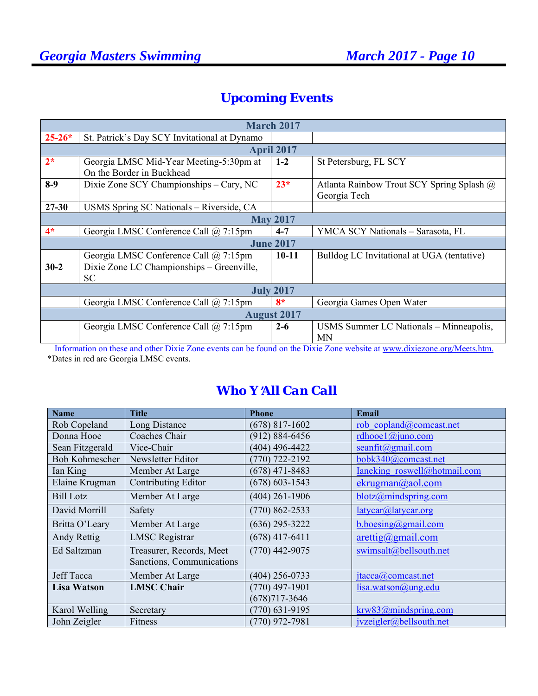# *Upcoming Events*

| <b>March 2017</b>                                                         |                                                                                                                                                                        |                    |                                                                                                                 |  |  |  |  |
|---------------------------------------------------------------------------|------------------------------------------------------------------------------------------------------------------------------------------------------------------------|--------------------|-----------------------------------------------------------------------------------------------------------------|--|--|--|--|
| $25 - 26*$                                                                | St. Patrick's Day SCY Invitational at Dynamo                                                                                                                           |                    |                                                                                                                 |  |  |  |  |
|                                                                           | <b>April 2017</b>                                                                                                                                                      |                    |                                                                                                                 |  |  |  |  |
| $2*$                                                                      | Georgia LMSC Mid-Year Meeting-5:30pm at<br>On the Border in Buckhead                                                                                                   | $1-2$              | St Petersburg, FL SCY                                                                                           |  |  |  |  |
| $8-9$                                                                     | Dixie Zone SCY Championships - Cary, NC                                                                                                                                | $23*$              | Atlanta Rainbow Trout SCY Spring Splash @<br>Georgia Tech                                                       |  |  |  |  |
| $27 - 30$                                                                 | USMS Spring SC Nationals - Riverside, CA                                                                                                                               |                    |                                                                                                                 |  |  |  |  |
| <b>May 2017</b>                                                           |                                                                                                                                                                        |                    |                                                                                                                 |  |  |  |  |
| $4*$                                                                      | Georgia LMSC Conference Call @ 7:15pm                                                                                                                                  | $4 - 7$            | YMCA SCY Nationals - Sarasota, FL                                                                               |  |  |  |  |
| <b>June 2017</b>                                                          |                                                                                                                                                                        |                    |                                                                                                                 |  |  |  |  |
|                                                                           | Georgia LMSC Conference Call @ 7:15pm                                                                                                                                  | $10 - 11$          | Bulldog LC Invitational at UGA (tentative)                                                                      |  |  |  |  |
| $30 - 2$                                                                  | Dixie Zone LC Championships - Greenville,<br>SC.                                                                                                                       |                    |                                                                                                                 |  |  |  |  |
| <b>July 2017</b>                                                          |                                                                                                                                                                        |                    |                                                                                                                 |  |  |  |  |
| Georgia LMSC Conference Call @ 7:15pm<br>$8*$<br>Georgia Games Open Water |                                                                                                                                                                        |                    |                                                                                                                 |  |  |  |  |
|                                                                           |                                                                                                                                                                        | <b>August 2017</b> |                                                                                                                 |  |  |  |  |
| $\mathbf{r}$ $\mathbf{r}$                                                 | Georgia LMSC Conference Call @ 7:15pm<br>$\mathbf{1}$ $\mathbf{1}$ $\mathbf{N}$ $\mathbf{N}$<br><b>Contract Contract Contract</b><br>$\sim$ 10 $\sim$ 10 $\sim$ $\sim$ | $2 - 6$            | USMS Summer LC Nationals - Minneapolis,<br>MN<br>11.11<br><b>Britain Committee</b><br>$\sqrt{2}$ and $\sqrt{2}$ |  |  |  |  |

 Information on these and other Dixie Zone events can be found on the Dixie Zone website at www.dixiezone.org/Meets.htm. \*Dates in red are Georgia LMSC events.

# *Who Y*=*All Can Call*

| <b>Name</b>           | <b>Title</b>              | <b>Phone</b>       | <b>Email</b>                                                   |
|-----------------------|---------------------------|--------------------|----------------------------------------------------------------|
| Rob Copeland          | Long Distance             | $(678)$ 817-1602   | rob copland@comcast.net                                        |
| Donna Hooe            | Coaches Chair             | $(912) 884 - 6456$ | rdhooe $1$ @juno.com                                           |
| Sean Fitzgerald       | Vice-Chair                | $(404)$ 496-4422   | seanfit $(a)$ gmail.com                                        |
| <b>Bob Kohmescher</b> | Newsletter Editor         | $(770)$ 722-2192   | bobk340@comcast.net                                            |
| Ian King              | Member At Large           | $(678)$ 471-8483   | Ianeking roswell@hotmail.com                                   |
| Elaine Krugman        | Contributing Editor       | $(678) 603 - 1543$ | ekrugman@aol.com                                               |
| <b>Bill Lotz</b>      | Member At Large           | $(404)$ 261-1906   | blotz@mindspring.com                                           |
| David Morrill         | Safety                    | $(770) 862 - 2533$ | latycar@latycar.org                                            |
| Britta O'Leary        | Member At Large           | $(636)$ 295-3222   | $\underline{b}.\underline{b} \underline{o}$ boesing @gmail.com |
| Andy Rettig           | <b>LMSC</b> Registrar     | $(678)$ 417-6411   | $\arcti\frac{g}{\omega}$ gmail.com                             |
| Ed Saltzman           | Treasurer, Records, Meet  | $(770)$ 442-9075   | swimsalt@bellsouth.net                                         |
|                       | Sanctions, Communications |                    |                                                                |
| Jeff Tacca            | Member At Large           | $(404)$ 256-0733   | $\text{itacca}(a)$ comcast.net                                 |
| <b>Lisa Watson</b>    | <b>LMSC Chair</b>         | $(770)$ 497-1901   | lisa.watson@ung.edu                                            |
|                       |                           | $(678)717 - 3646$  |                                                                |
| Karol Welling         | Secretary                 | $(770)$ 631-9195   | krw83@mindspring.com                                           |
| John Zeigler          | Fitness                   | $(770)$ 972-7981   | jvzeigler@bellsouth.net                                        |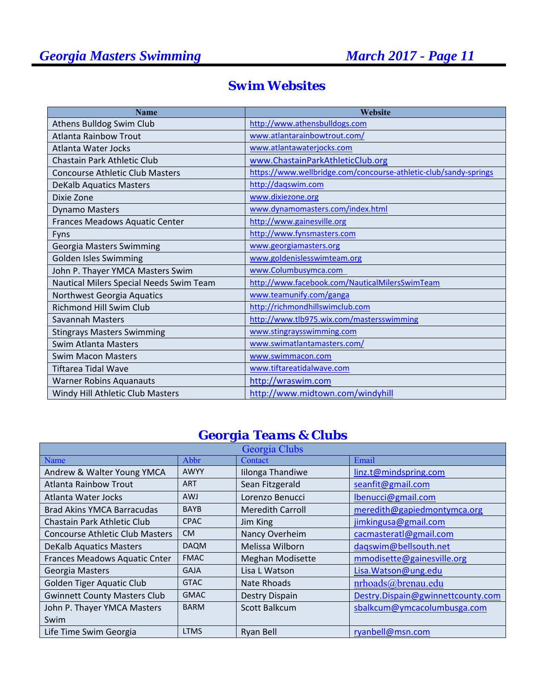| <b>Name</b>                             | Website                                                          |
|-----------------------------------------|------------------------------------------------------------------|
| Athens Bulldog Swim Club                | http://www.athensbulldogs.com                                    |
| <b>Atlanta Rainbow Trout</b>            | www.atlantarainbowtrout.com/                                     |
| Atlanta Water Jocks                     | www.atlantawaterjocks.com                                        |
| <b>Chastain Park Athletic Club</b>      | www.ChastainParkAthleticClub.org                                 |
| <b>Concourse Athletic Club Masters</b>  | https://www.wellbridge.com/concourse-athletic-club/sandy-springs |
| <b>DeKalb Aquatics Masters</b>          | http://dagswim.com                                               |
| Dixie Zone                              | www.dixiezone.org                                                |
| <b>Dynamo Masters</b>                   | www.dynamomasters.com/index.html                                 |
| Frances Meadows Aquatic Center          | http://www.gainesville.org                                       |
| Fyns                                    | http://www.fynsmasters.com                                       |
| Georgia Masters Swimming                | www.georgiamasters.org                                           |
| Golden Isles Swimming                   | www.goldenislesswimteam.org                                      |
| John P. Thayer YMCA Masters Swim        | www.Columbusymca.com                                             |
| Nautical Milers Special Needs Swim Team | http://www.facebook.com/NauticalMilersSwimTeam                   |
| Northwest Georgia Aquatics              | www.teamunify.com/ganga                                          |
| Richmond Hill Swim Club                 | http://richmondhillswimclub.com                                  |
| Savannah Masters                        | http://www.tlb975.wix.com/mastersswimming                        |
| <b>Stingrays Masters Swimming</b>       | www.stingraysswimming.com                                        |
| Swim Atlanta Masters                    | www.swimatlantamasters.com/                                      |
| Swim Macon Masters                      | www.swimmacon.com                                                |
| Tiftarea Tidal Wave                     | www.tiftareatidalwave.com                                        |
| <b>Warner Robins Aquanauts</b>          | http://wraswim.com                                               |
| Windy Hill Athletic Club Masters        | http://www.midtown.com/windyhill                                 |

# *Swim Websites*

# *Georgia Teams & Clubs*

| Georgia Clubs                          |             |                         |                                   |  |  |  |
|----------------------------------------|-------------|-------------------------|-----------------------------------|--|--|--|
| Name                                   | Abbr        | Contact                 | Email                             |  |  |  |
| Andrew & Walter Young YMCA             | <b>AWYY</b> | Iilonga Thandiwe        | linz.t@mindspring.com             |  |  |  |
| <b>Atlanta Rainbow Trout</b>           | <b>ART</b>  | Sean Fitzgerald         | seanfit@gmail.com                 |  |  |  |
| Atlanta Water Jocks                    | <b>AWJ</b>  | Lorenzo Benucci         | lbenucci@gmail.com                |  |  |  |
| <b>Brad Akins YMCA Barracudas</b>      | <b>BAYB</b> | <b>Meredith Carroll</b> | meredith@gapiedmontymca.org       |  |  |  |
| Chastain Park Athletic Club            | <b>CPAC</b> | Jim King                | jimkingusa@gmail.com              |  |  |  |
| <b>Concourse Athletic Club Masters</b> | <b>CM</b>   | Nancy Overheim          | cacmasteratl@gmail.com            |  |  |  |
| <b>DeKalb Aquatics Masters</b>         | <b>DAQM</b> | Melissa Wilborn         | daqswim@bellsouth.net             |  |  |  |
| Frances Meadows Aquatic Cnter          | <b>FMAC</b> | <b>Meghan Modisette</b> | mmodisette@gainesville.org        |  |  |  |
| Georgia Masters                        | <b>GAJA</b> | Lisa L Watson           | Lisa. Watson@ung.edu              |  |  |  |
| Golden Tiger Aquatic Club              | <b>GTAC</b> | <b>Nate Rhoads</b>      | nrhoads@brenau.edu                |  |  |  |
| <b>Gwinnett County Masters Club</b>    | <b>GMAC</b> | Destry Dispain          | Destry.Dispain@gwinnettcounty.com |  |  |  |
| John P. Thayer YMCA Masters            | <b>BARM</b> | Scott Balkcum           | sbalkcum@ymcacolumbusga.com       |  |  |  |
| Swim                                   |             |                         |                                   |  |  |  |
| Life Time Swim Georgia                 | <b>LTMS</b> | Ryan Bell               | ryanbell@msn.com                  |  |  |  |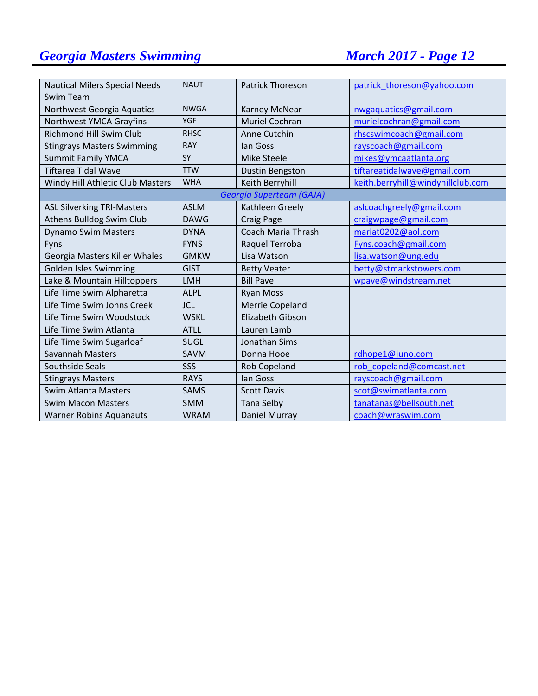| <b>Nautical Milers Special Needs</b> | <b>NAUT</b> | <b>Patrick Thoreson</b>   | patrick thoreson@yahoo.com        |
|--------------------------------------|-------------|---------------------------|-----------------------------------|
| Swim Team                            |             |                           |                                   |
| Northwest Georgia Aquatics           | <b>NWGA</b> | Karney McNear             | nwgaquatics@gmail.com             |
| Northwest YMCA Grayfins              | <b>YGF</b>  | <b>Muriel Cochran</b>     | murielcochran@gmail.com           |
| <b>Richmond Hill Swim Club</b>       | <b>RHSC</b> | Anne Cutchin              | rhscswimcoach@gmail.com           |
| <b>Stingrays Masters Swimming</b>    | <b>RAY</b>  | lan Goss                  | rayscoach@gmail.com               |
| <b>Summit Family YMCA</b>            | SY          | <b>Mike Steele</b>        | mikes@ymcaatlanta.org             |
| <b>Tiftarea Tidal Wave</b>           | <b>TTW</b>  | Dustin Bengston           | tiftareatidalwave@gmail.com       |
| Windy Hill Athletic Club Masters     | <b>WHA</b>  | Keith Berryhill           | keith.berryhill@windyhillclub.com |
|                                      |             | Georgia Superteam (GAJA)  |                                   |
| <b>ASL Silverking TRI-Masters</b>    | <b>ASLM</b> | Kathleen Greely           | aslcoachgreely@gmail.com          |
| Athens Bulldog Swim Club             | <b>DAWG</b> | Craig Page                | craigwpage@gmail.com              |
| <b>Dynamo Swim Masters</b>           | <b>DYNA</b> | <b>Coach Maria Thrash</b> | mariat0202@aol.com                |
| Fyns                                 | <b>FYNS</b> | Raquel Terroba            | Fyns.coach@gmail.com              |
| Georgia Masters Killer Whales        | <b>GMKW</b> | Lisa Watson               | lisa.watson@ung.edu               |
| Golden Isles Swimming                | <b>GIST</b> | <b>Betty Veater</b>       | betty@stmarkstowers.com           |
| Lake & Mountain Hilltoppers          | <b>LMH</b>  | <b>Bill Pave</b>          | wpave@windstream.net              |
| Life Time Swim Alpharetta            | <b>ALPL</b> | <b>Ryan Moss</b>          |                                   |
| Life Time Swim Johns Creek           | <b>JCL</b>  | Merrie Copeland           |                                   |
| Life Time Swim Woodstock             | <b>WSKL</b> | Elizabeth Gibson          |                                   |
| Life Time Swim Atlanta               | <b>ATLL</b> | Lauren Lamb               |                                   |
| Life Time Swim Sugarloaf             | <b>SUGL</b> | <b>Jonathan Sims</b>      |                                   |
| <b>Savannah Masters</b>              | SAVM        | Donna Hooe                | rdhope1@juno.com                  |
| Southside Seals                      | SSS         | Rob Copeland              | rob copeland@comcast.net          |
| <b>Stingrays Masters</b>             | <b>RAYS</b> | lan Goss                  | rayscoach@gmail.com               |
| Swim Atlanta Masters                 | <b>SAMS</b> | <b>Scott Davis</b>        | scot@swimatlanta.com              |
| <b>Swim Macon Masters</b>            | <b>SMM</b>  | <b>Tana Selby</b>         | tanatanas@bellsouth.net           |
| <b>Warner Robins Aquanauts</b>       | <b>WRAM</b> | Daniel Murray             | coach@wraswim.com                 |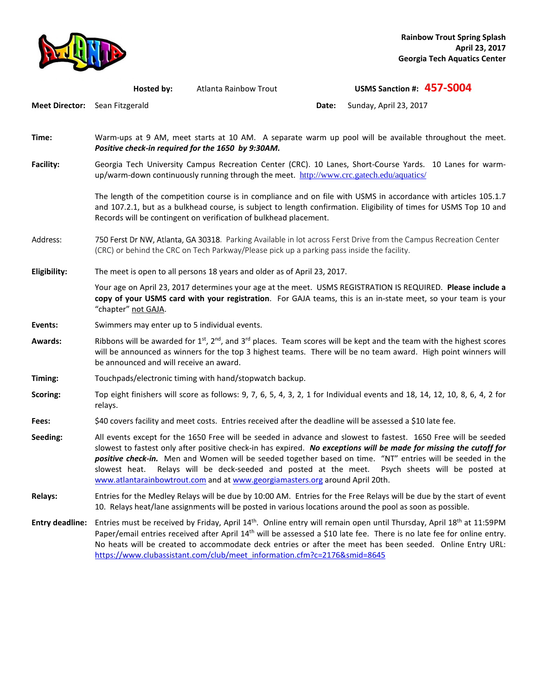

|                                | Hosted by:                                                                                                                                                                                                                                                                                        | Atlanta Rainbow Trout                                                                                                              |       | USMS Sanction #: 457-S004                                                                                                                                                                                                                                                                                                                                                                       |  |
|--------------------------------|---------------------------------------------------------------------------------------------------------------------------------------------------------------------------------------------------------------------------------------------------------------------------------------------------|------------------------------------------------------------------------------------------------------------------------------------|-------|-------------------------------------------------------------------------------------------------------------------------------------------------------------------------------------------------------------------------------------------------------------------------------------------------------------------------------------------------------------------------------------------------|--|
| Meet Director: Sean Fitzgerald |                                                                                                                                                                                                                                                                                                   |                                                                                                                                    | Date: | Sunday, April 23, 2017                                                                                                                                                                                                                                                                                                                                                                          |  |
| Time:                          | Positive check-in required for the 1650 by 9:30AM.                                                                                                                                                                                                                                                |                                                                                                                                    |       | Warm-ups at 9 AM, meet starts at 10 AM. A separate warm up pool will be available throughout the meet.                                                                                                                                                                                                                                                                                          |  |
| Facility:                      | Georgia Tech University Campus Recreation Center (CRC). 10 Lanes, Short-Course Yards. 10 Lanes for warm-<br>up/warm-down continuously running through the meet. http://www.crc.gatech.edu/aquatics/                                                                                               |                                                                                                                                    |       |                                                                                                                                                                                                                                                                                                                                                                                                 |  |
|                                |                                                                                                                                                                                                                                                                                                   | Records will be contingent on verification of bulkhead placement.                                                                  |       | The length of the competition course is in compliance and on file with USMS in accordance with articles 105.1.7<br>and 107.2.1, but as a bulkhead course, is subject to length confirmation. Eligibility of times for USMS Top 10 and                                                                                                                                                           |  |
| Address:                       |                                                                                                                                                                                                                                                                                                   | (CRC) or behind the CRC on Tech Parkway/Please pick up a parking pass inside the facility.                                         |       | 750 Ferst Dr NW, Atlanta, GA 30318. Parking Available in lot across Ferst Drive from the Campus Recreation Center                                                                                                                                                                                                                                                                               |  |
| Eligibility:                   |                                                                                                                                                                                                                                                                                                   | The meet is open to all persons 18 years and older as of April 23, 2017.                                                           |       |                                                                                                                                                                                                                                                                                                                                                                                                 |  |
|                                | "chapter" not GAJA.                                                                                                                                                                                                                                                                               |                                                                                                                                    |       | Your age on April 23, 2017 determines your age at the meet. USMS REGISTRATION IS REQUIRED. Please include a<br>copy of your USMS card with your registration. For GAJA teams, this is an in-state meet, so your team is your                                                                                                                                                                    |  |
| Events:                        | Swimmers may enter up to 5 individual events.                                                                                                                                                                                                                                                     |                                                                                                                                    |       |                                                                                                                                                                                                                                                                                                                                                                                                 |  |
| <b>Awards:</b>                 | Ribbons will be awarded for $1^{st}$ , $2^{nd}$ , and $3^{rd}$ places. Team scores will be kept and the team with the highest scores<br>will be announced as winners for the top 3 highest teams. There will be no team award. High point winners will<br>be announced and will receive an award. |                                                                                                                                    |       |                                                                                                                                                                                                                                                                                                                                                                                                 |  |
| Timing:                        |                                                                                                                                                                                                                                                                                                   | Touchpads/electronic timing with hand/stopwatch backup.                                                                            |       |                                                                                                                                                                                                                                                                                                                                                                                                 |  |
| Scoring:                       | Top eight finishers will score as follows: 9, 7, 6, 5, 4, 3, 2, 1 for Individual events and 18, 14, 12, 10, 8, 6, 4, 2 for<br>relays.                                                                                                                                                             |                                                                                                                                    |       |                                                                                                                                                                                                                                                                                                                                                                                                 |  |
| Fees:                          |                                                                                                                                                                                                                                                                                                   | \$40 covers facility and meet costs. Entries received after the deadline will be assessed a \$10 late fee.                         |       |                                                                                                                                                                                                                                                                                                                                                                                                 |  |
| Seeding:                       | slowest heat.                                                                                                                                                                                                                                                                                     | Relays will be deck-seeded and posted at the meet.<br>www.atlantarainbowtrout.com and at www.georgiamasters.org around April 20th. |       | All events except for the 1650 Free will be seeded in advance and slowest to fastest. 1650 Free will be seeded<br>slowest to fastest only after positive check-in has expired. No exceptions will be made for missing the cutoff for<br>positive check-in. Men and Women will be seeded together based on time. "NT" entries will be seeded in the<br>Psych sheets will be posted at            |  |
| <b>Relays:</b>                 |                                                                                                                                                                                                                                                                                                   |                                                                                                                                    |       | Entries for the Medley Relays will be due by 10:00 AM. Entries for the Free Relays will be due by the start of event<br>10. Relays heat/lane assignments will be posted in various locations around the pool as soon as possible.                                                                                                                                                               |  |
| <b>Entry deadline:</b>         |                                                                                                                                                                                                                                                                                                   | https://www.clubassistant.com/club/meet_information.cfm?c=2176∣=8645                                                               |       | Entries must be received by Friday, April 14 <sup>th</sup> . Online entry will remain open until Thursday, April 18 <sup>th</sup> at 11:59PM<br>Paper/email entries received after April 14 <sup>th</sup> will be assessed a \$10 late fee. There is no late fee for online entry.<br>No heats will be created to accommodate deck entries or after the meet has been seeded. Online Entry URL: |  |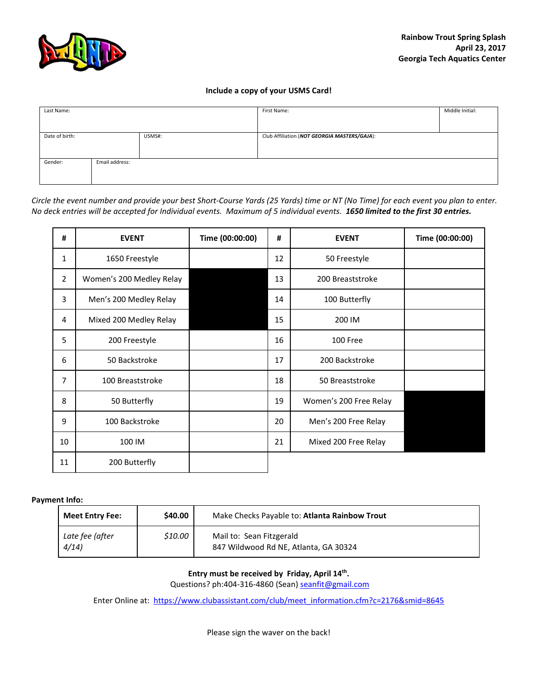

### **Include a copy of your USMS Card!**

| Last Name:     |                |        | First Name:                                  | Middle Initial: |  |
|----------------|----------------|--------|----------------------------------------------|-----------------|--|
|                |                |        |                                              |                 |  |
|                |                |        |                                              |                 |  |
| Date of birth: |                | USMS#: | Club Affiliation (NOT GEORGIA MASTERS/GAJA): |                 |  |
|                |                |        |                                              |                 |  |
|                |                |        |                                              |                 |  |
| Gender:        | Email address: |        |                                              |                 |  |
|                |                |        |                                              |                 |  |
|                |                |        |                                              |                 |  |

*Circle the event number and provide your best Short-Course Yards (25 Yards) time or NT (No Time) for each event you plan to enter. No deck entries will be accepted for Individual events. Maximum of 5 individual events. 1650 limited to the first 30 entries.* 

| #            | <b>EVENT</b>             | Time (00:00:00) | #  | <b>EVENT</b>           | Time (00:00:00) |
|--------------|--------------------------|-----------------|----|------------------------|-----------------|
| $\mathbf{1}$ | 1650 Freestyle           |                 | 12 | 50 Freestyle           |                 |
| 2            | Women's 200 Medley Relay |                 | 13 | 200 Breaststroke       |                 |
| 3            | Men's 200 Medley Relay   |                 | 14 | 100 Butterfly          |                 |
| 4            | Mixed 200 Medley Relay   |                 | 15 | 200 IM                 |                 |
| 5            | 200 Freestyle            |                 | 16 | 100 Free               |                 |
| 6            | 50 Backstroke            |                 | 17 | 200 Backstroke         |                 |
| 7            | 100 Breaststroke         |                 | 18 | 50 Breaststroke        |                 |
| 8            | 50 Butterfly             |                 | 19 | Women's 200 Free Relay |                 |
| 9            | 100 Backstroke           |                 | 20 | Men's 200 Free Relay   |                 |
| 10           | 100 IM                   |                 | 21 | Mixed 200 Free Relay   |                 |
| 11           | 200 Butterfly            |                 |    |                        |                 |

### **Payment Info:**

| <b>Meet Entry Fee:</b>  | \$40.00 | Make Checks Payable to: Atlanta Rainbow Trout                     |  |
|-------------------------|---------|-------------------------------------------------------------------|--|
| Late fee (after<br>4/14 | \$10.00 | Mail to: Sean Fitzgerald<br>847 Wildwood Rd NE, Atlanta, GA 30324 |  |

**Entry must be received by Friday, April 14th .** 

Questions? ph:404-316-4860 (Sean) seanfit@gmail.com

Enter Online at: https://www.clubassistant.com/club/meet\_information.cfm?c=2176&smid=8645

Please sign the waver on the back!